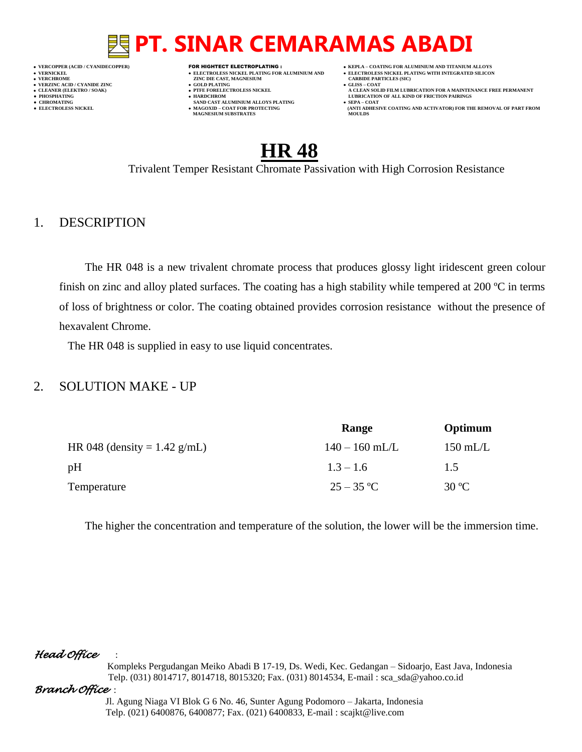**VERNICKEL ELECTROLESS NICKEL PLATING FOR ALUMINIUM AND ELECTROLESS NICKEL PLATING WITH INTEGRATED SILICON**

- **VERT ASSESSED ASSESSED ASSESSED ASSESSED ASSESSED ASSESSED ASSESSED ASSESSED ASSESSED ASSESSED ASSESSED ASSESSED ASSESSED ASSESSED ASSESSED ASSESSED ASSESSED ASSESSED ASSESSED ASSESSED ASSESSED ASSESSED ASSESSED ASSESSED VERZINC ACID / CYANIDE ZINC GOLD PLATING GLISS – COAT**
	-
- **PHOSPHATING HARDCHROM LUBRICATION OF ALL KIND OF FRICTION PAIRINGS ● CHROMATING SAND CAST ALUMINIUM ALLOYS PLATING SEPA – COAT**
- **MAGNESIUM SUBSTRATES MOULDS**
- **VERCOPPER (ACID / CYANIDECOPPER)** FOR HIGHTECT ELECTROPLATING :  **KEPLA – COATING FOR ALUMINIUM AND TITANIUM ALLOYS**
	-
- **CLEANER (ELEKTRO / SOAK) PTFE FORELECTROLESS NICKEL A CLEAN SOLID FILM LUBRICATION FOR A MAINTENANCE FREE PERMANENT**
- **● ELECTROLESS NICKEL MAGOXID – COAT FOR PROTECTING (ANTI ADHESIVE COATING AND ACTIVATOR) FOR THE REMOVAL OF PART FROM**

### **HR 48**

Trivalent Temper Resistant Chromate Passivation with High Corrosion Resistance

### 1. DESCRIPTION

The HR 048 is a new trivalent chromate process that produces glossy light iridescent green colour finish on zinc and alloy plated surfaces. The coating has a high stability while tempered at 200 ºC in terms of loss of brightness or color. The coating obtained provides corrosion resistance without the presence of hexavalent Chrome.

The HR 048 is supplied in easy to use liquid concentrates.

### 2. SOLUTION MAKE - UP

|                                | Range            | Optimum        |
|--------------------------------|------------------|----------------|
| HR 048 (density = $1.42$ g/mL) | $140 - 160$ mL/L | $150$ mL/L     |
| pH                             | $1.3 - 1.6$      | 1.5            |
| Temperature                    | $25 - 35$ °C     | $30^{\circ}$ C |

The higher the concentration and temperature of the solution, the lower will be the immersion time.

### *Head Office* :

 Kompleks Pergudangan Meiko Abadi B 17-19, Ds. Wedi, Kec. Gedangan – Sidoarjo, East Java, Indonesia Telp. (031) 8014717, 8014718, 8015320; Fax. (031) 8014534, E-mail : sca\_sda@yahoo.co.id

### *Branch Office* :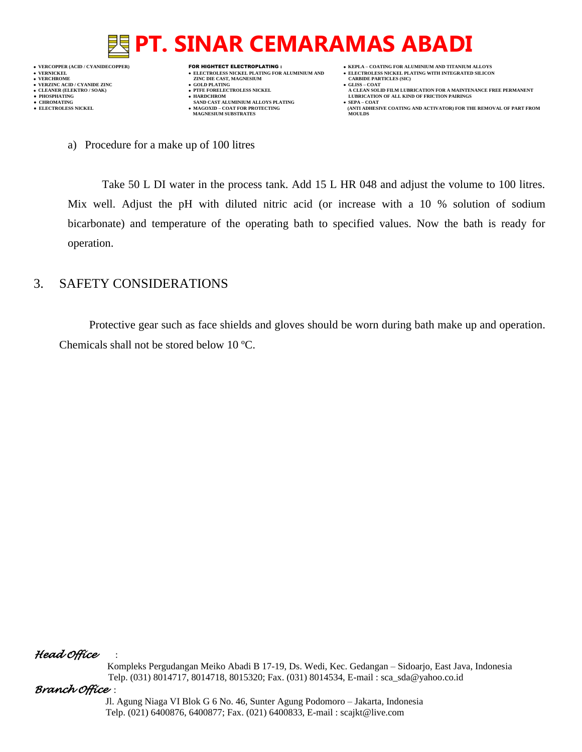

- **VERT ASSESSED ASSESSED ASSESSED ASSESSED ASSESSED ASSESSED ASSESSED ASSESSED ASSESSED ASSESSED ASSESSED ASSESSED ASSESSED ASSESSED ASSESSED ASSESSED ASSESSED ASSESSED ASSESSED ASSESSED ASSESSED ASSESSED ASSESSED ASSESSED**
- 
- 
- **•** CHROMATING **CHROMATING • CHROMATING • CHROMATING • CHROMATING • CHROMATING • MAGOXID COAT** FOR PROTECTING **MAGNESIUM SUBSTRATES**
- **VERCOPPER (ACID / CYANIDECOPPER)** FOR HIGHTECT ELECTROPLATING :  **KEPLA – COATING FOR ALUMINIUM AND TITANIUM ALLOYS**
	-
- **CLEANER (ELEKTRO / SOAK) PTFE FORELECTROLESS NICKEL A CLEAN SOLID FILM LUBRICATION FOR A MAINTENANCE FREE PERMANENT**
	- **● ELECTROLESS NICKEL MAGOXID – COAT FOR PROTECTING (ANTI ADHESIVE COATING AND ACTIVATOR) FOR THE REMOVAL OF PART FROM**

a) Procedure for a make up of 100 litres

Take 50 L DI water in the process tank. Add 15 L HR 048 and adjust the volume to 100 litres. Mix well. Adjust the pH with diluted nitric acid (or increase with a 10 % solution of sodium bicarbonate) and temperature of the operating bath to specified values. Now the bath is ready for operation.

### 3. SAFETY CONSIDERATIONS

Protective gear such as face shields and gloves should be worn during bath make up and operation. Chemicals shall not be stored below 10 ºC.

### *Head Office* :

 Kompleks Pergudangan Meiko Abadi B 17-19, Ds. Wedi, Kec. Gedangan – Sidoarjo, East Java, Indonesia Telp. (031) 8014717, 8014718, 8015320; Fax. (031) 8014534, E-mail : sca\_sda@yahoo.co.id

### *Branch Office* :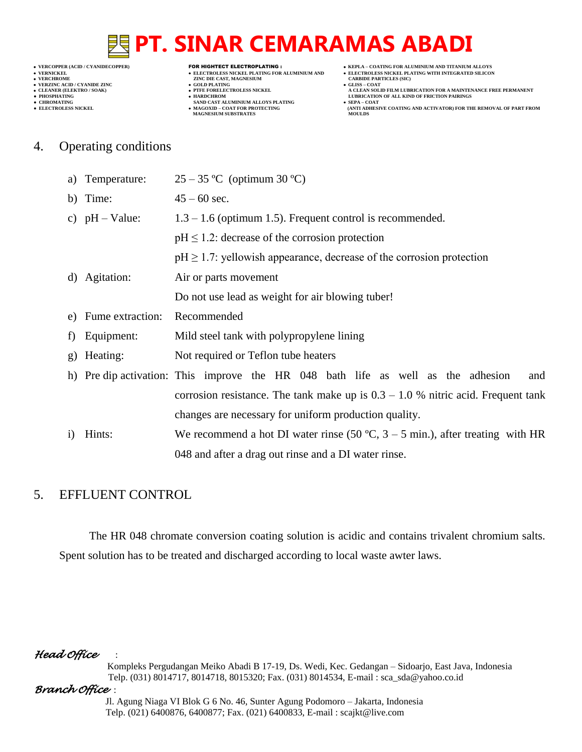- **VERCHROME (ACID/CTANIDE ZINC CONTROLLY CAST, MAGNESIUM CARBIDE PARTICLES (SICKEL PLATING FOR ALUMINIUM AND CARBIDE PARTICLES (SICKEL PLATING FOR ALUMINIUM AND CARBIDE PARTICLES (SICKEL PLATING FOR ALUMINIUM AND CARBIDE PA** 
	- **v GOLD PLATING**<br>**• PTFE FORELECTROLESS NICKEL**
	-
- **● CHROMATING SAND CAST ALUMINIUM ALLOYS PLATING SEPA – COAT MAGNESIUM SUBSTRATES MOULDS**
- **VERCOPPER (ACID / CYANIDECOPPER)** FOR HIGHTECT ELECTROPLATING :  **KEPLA – COATING FOR ALUMINIUM AND TITANIUM ALLOYS**
- **VERNICKEL ELECTROLESS NICKEL PLATING FOR ALUMINIUM AND ELECTROLESS NICKEL PLATING WITH INTEGRATED SILICON**
	-
- **A CLEAN SOLID FILM LUBRICATION FOR A MAINTENANCE FREE PERMANENT ● PHOSPHATING HARDCHROM LUBRICATION OF ALL KIND OF FRICTION PAIRINGS**
- **● ELECTROLESS NICKEL MAGOXID – COAT FOR PROTECTING (ANTI ADHESIVE COATING AND ACTIVATOR) FOR THE REMOVAL OF PART FROM**
- 4. Operating conditions

| a)                   | Temperature:        | $25-35$ °C (optimum 30 °C)                                                              |
|----------------------|---------------------|-----------------------------------------------------------------------------------------|
|                      | b) Time:            | $45 - 60$ sec.                                                                          |
|                      | c) $pH - Value$ :   | $1.3 - 1.6$ (optimum 1.5). Frequent control is recommended.                             |
|                      |                     | $pH \leq 1.2$ : decrease of the corrosion protection                                    |
|                      |                     | $pH \geq 1.7$ : yellowish appearance, decrease of the corrosion protection              |
| d)                   | Agitation:          | Air or parts movement                                                                   |
|                      |                     | Do not use lead as weight for air blowing tuber!                                        |
|                      | e) Fume extraction: | Recommended                                                                             |
| $\ddot{\phantom{1}}$ | Equipment:          | Mild steel tank with polypropylene lining                                               |
|                      |                     |                                                                                         |
|                      | g) Heating:         | Not required or Teflon tube heaters                                                     |
|                      |                     | h) Pre dip activation: This improve the HR 048 bath life as well as the adhesion<br>and |
|                      |                     | corrosion resistance. The tank make up is $0.3 - 1.0$ % nitric acid. Frequent tank      |
|                      |                     | changes are necessary for uniform production quality.                                   |
| $\bf{1)}$            | Hints:              | We recommend a hot DI water rinse (50 °C, $3 - 5$ min.), after treating with HR         |

### 5. EFFLUENT CONTROL

The HR 048 chromate conversion coating solution is acidic and contains trivalent chromium salts. Spent solution has to be treated and discharged according to local waste awter laws.

048 and after a drag out rinse and a DI water rinse.

### *Head Office* :

 Kompleks Pergudangan Meiko Abadi B 17-19, Ds. Wedi, Kec. Gedangan – Sidoarjo, East Java, Indonesia Telp. (031) 8014717, 8014718, 8015320; Fax. (031) 8014534, E-mail : sca\_sda@yahoo.co.id

### *Branch Office* :